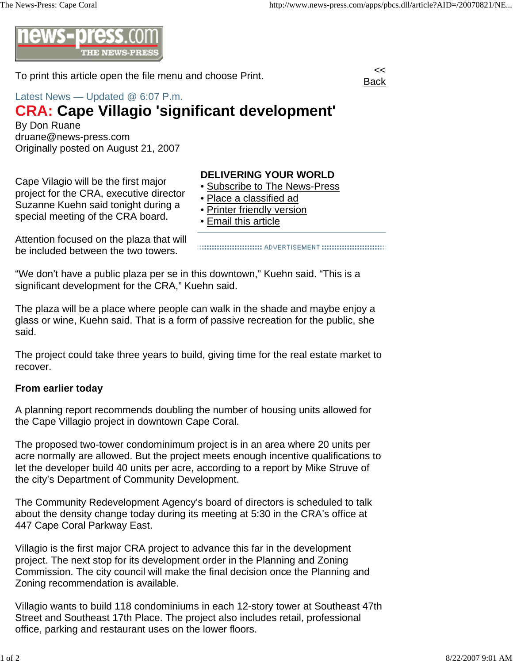

To print this article open the file menu and choose Print.



## Latest News — Updated @ 6:07 P.m.

## **CRA: Cape Villagio 'significant development'**

By Don Ruane druane@news-press.com Originally posted on August 21, 2007

Cape Vilagio will be the first major project for the CRA, executive director Suzanne Kuehn said tonight during a special meeting of the CRA board.

## **DELIVERING YOUR WORLD**

- Subscribe to The News-Press
- Place a classified ad
- Printer friendly version
- Email this article

Attention focused on the plaza that will be included between the two towers.

"We don't have a public plaza per se in this downtown," Kuehn said. "This is a significant development for the CRA," Kuehn said.

The plaza will be a place where people can walk in the shade and maybe enjoy a glass or wine, Kuehn said. That is a form of passive recreation for the public, she said.

The project could take three years to build, giving time for the real estate market to recover.

## **From earlier today**

A planning report recommends doubling the number of housing units allowed for the Cape Villagio project in downtown Cape Coral.

The proposed two-tower condominimum project is in an area where 20 units per acre normally are allowed. But the project meets enough incentive qualifications to let the developer build 40 units per acre, according to a report by Mike Struve of the city's Department of Community Development.

The Community Redevelopment Agency's board of directors is scheduled to talk about the density change today during its meeting at 5:30 in the CRA's office at 447 Cape Coral Parkway East.

Villagio is the first major CRA project to advance this far in the development project. The next stop for its development order in the Planning and Zoning Commission. The city council will make the final decision once the Planning and Zoning recommendation is available.

Villagio wants to build 118 condominiums in each 12-story tower at Southeast 47th Street and Southeast 17th Place. The project also includes retail, professional office, parking and restaurant uses on the lower floors.